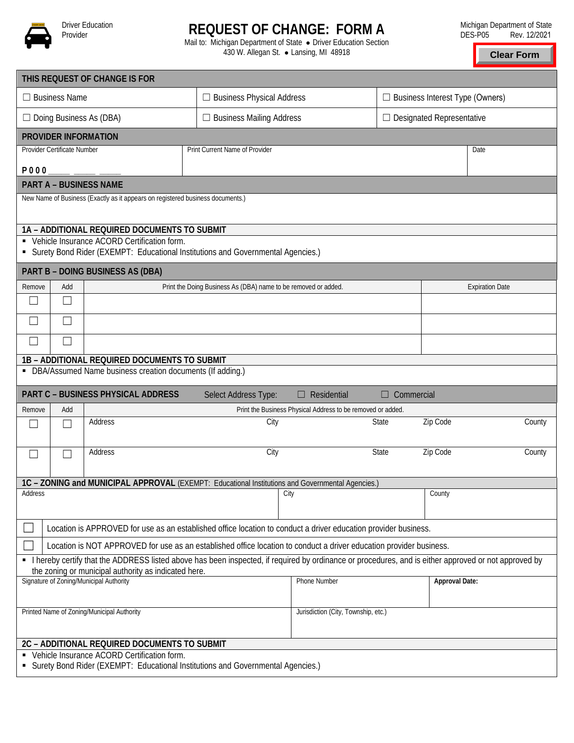

## **REQUEST OF CHANGE: FORM A**

Mail to: Michigan Department of State . Driver Education Section 430 W. Allegan St. • Lansing, MI 48918

**Clear Form**

| THIS REQUEST OF CHANGE IS FOR                                                                                                                          |               |                                                                |                                                                                   |                                                             |                                        |          |                                  |  |
|--------------------------------------------------------------------------------------------------------------------------------------------------------|---------------|----------------------------------------------------------------|-----------------------------------------------------------------------------------|-------------------------------------------------------------|----------------------------------------|----------|----------------------------------|--|
| $\Box$ Business Name                                                                                                                                   |               |                                                                | $\Box$ Business Physical Address                                                  |                                                             | $\Box$ Business Interest Type (Owners) |          |                                  |  |
| $\Box$ Doing Business As (DBA)                                                                                                                         |               |                                                                |                                                                                   | $\Box$ Business Mailing Address                             |                                        |          | $\Box$ Designated Representative |  |
| PROVIDER INFORMATION                                                                                                                                   |               |                                                                |                                                                                   |                                                             |                                        |          |                                  |  |
| Provider Certificate Number                                                                                                                            |               |                                                                | Print Current Name of Provider                                                    |                                                             |                                        |          |                                  |  |
| <b>P000</b>                                                                                                                                            |               |                                                                |                                                                                   |                                                             |                                        |          |                                  |  |
| <b>PART A - BUSINESS NAME</b>                                                                                                                          |               |                                                                |                                                                                   |                                                             |                                        |          |                                  |  |
| New Name of Business (Exactly as it appears on registered business documents.)                                                                         |               |                                                                |                                                                                   |                                                             |                                        |          |                                  |  |
|                                                                                                                                                        |               | 1A - ADDITIONAL REQUIRED DOCUMENTS TO SUBMIT                   |                                                                                   |                                                             |                                        |          |                                  |  |
|                                                                                                                                                        |               | • Vehicle Insurance ACORD Certification form.                  | • Surety Bond Rider (EXEMPT: Educational Institutions and Governmental Agencies.) |                                                             |                                        |          |                                  |  |
|                                                                                                                                                        |               | PART B - DOING BUSINESS AS (DBA)                               |                                                                                   |                                                             |                                        |          |                                  |  |
| Remove                                                                                                                                                 | Add           | Print the Doing Business As (DBA) name to be removed or added. |                                                                                   |                                                             |                                        |          | <b>Expiration Date</b>           |  |
|                                                                                                                                                        | $\mathcal{L}$ |                                                                |                                                                                   |                                                             |                                        |          |                                  |  |
|                                                                                                                                                        | $\Box$        |                                                                |                                                                                   |                                                             |                                        |          |                                  |  |
|                                                                                                                                                        |               |                                                                |                                                                                   |                                                             |                                        |          |                                  |  |
|                                                                                                                                                        |               | 1B - ADDITIONAL REQUIRED DOCUMENTS TO SUBMIT                   |                                                                                   |                                                             |                                        |          |                                  |  |
|                                                                                                                                                        |               | • DBA/Assumed Name business creation documents (If adding.)    |                                                                                   |                                                             |                                        |          |                                  |  |
| PART C - BUSINESS PHYSICAL ADDRESS<br>Select Address Type:<br>$\Box$ Residential<br>$\Box$ Commercial                                                  |               |                                                                |                                                                                   |                                                             |                                        |          |                                  |  |
| Remove                                                                                                                                                 | Add           |                                                                |                                                                                   | Print the Business Physical Address to be removed or added. |                                        |          |                                  |  |
|                                                                                                                                                        |               | Address                                                        | City                                                                              |                                                             | State                                  | Zip Code | County                           |  |
| - 1                                                                                                                                                    |               | Address                                                        | City                                                                              |                                                             | State                                  | Zip Code | County                           |  |
|                                                                                                                                                        |               |                                                                |                                                                                   |                                                             |                                        |          |                                  |  |
| 1C - ZONING and MUNICIPAL APPROVAL (EXEMPT: Educational Institutions and Governmental Agencies.)<br>City                                               |               |                                                                |                                                                                   |                                                             |                                        |          |                                  |  |
| Address                                                                                                                                                |               |                                                                |                                                                                   |                                                             |                                        | County   |                                  |  |
| Location is APPROVED for use as an established office location to conduct a driver education provider business.                                        |               |                                                                |                                                                                   |                                                             |                                        |          |                                  |  |
| Location is NOT APPROVED for use as an established office location to conduct a driver education provider business.                                    |               |                                                                |                                                                                   |                                                             |                                        |          |                                  |  |
| • I hereby certify that the ADDRESS listed above has been inspected, if required by ordinance or procedures, and is either approved or not approved by |               |                                                                |                                                                                   |                                                             |                                        |          |                                  |  |
| the zoning or municipal authority as indicated here.<br>Signature of Zoning/Municipal Authority<br><b>Phone Number</b><br><b>Approval Date:</b>        |               |                                                                |                                                                                   |                                                             |                                        |          |                                  |  |
|                                                                                                                                                        |               |                                                                |                                                                                   |                                                             |                                        |          |                                  |  |
|                                                                                                                                                        |               | Printed Name of Zoning/Municipal Authority                     |                                                                                   | Jurisdiction (City, Township, etc.)                         |                                        |          |                                  |  |
|                                                                                                                                                        |               | 2C - ADDITIONAL REQUIRED DOCUMENTS TO SUBMIT                   |                                                                                   |                                                             |                                        |          |                                  |  |
| • Vehicle Insurance ACORD Certification form.                                                                                                          |               |                                                                |                                                                                   |                                                             |                                        |          |                                  |  |
| • Surety Bond Rider (EXEMPT: Educational Institutions and Governmental Agencies.)                                                                      |               |                                                                |                                                                                   |                                                             |                                        |          |                                  |  |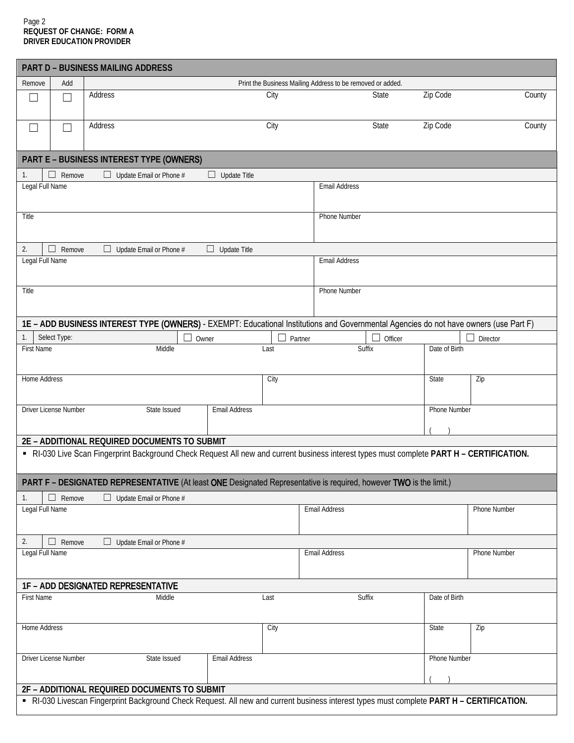## Page 2 **REQUEST OF CHANGE: FORM A DRIVER EDUCATION PROVIDER**

|                                                                                                                                           |                                                            | <b>PART D - BUSINESS MAILING ADDRESS</b> |                      |         |                      |              |                     |                                                                                                                                       |  |
|-------------------------------------------------------------------------------------------------------------------------------------------|------------------------------------------------------------|------------------------------------------|----------------------|---------|----------------------|--------------|---------------------|---------------------------------------------------------------------------------------------------------------------------------------|--|
| Add<br>Remove                                                                                                                             | Print the Business Mailing Address to be removed or added. |                                          |                      |         |                      |              |                     |                                                                                                                                       |  |
| $\Box$<br>П                                                                                                                               | Address                                                    |                                          |                      | City    |                      | State        | Zip Code            | County                                                                                                                                |  |
|                                                                                                                                           |                                                            |                                          |                      |         |                      |              |                     |                                                                                                                                       |  |
| $\Box$                                                                                                                                    | Address                                                    |                                          |                      | City    |                      | State        | Zip Code            | County                                                                                                                                |  |
|                                                                                                                                           |                                                            |                                          |                      |         |                      |              |                     |                                                                                                                                       |  |
|                                                                                                                                           |                                                            | PART E - BUSINESS INTEREST TYPE (OWNERS) |                      |         |                      |              |                     |                                                                                                                                       |  |
| $\Box$ Remove<br>1.                                                                                                                       |                                                            | $\Box$ Update Email or Phone #           | $\Box$ Update Title  |         |                      |              |                     |                                                                                                                                       |  |
| Legal Full Name                                                                                                                           |                                                            |                                          |                      |         | <b>Email Address</b> |              |                     |                                                                                                                                       |  |
|                                                                                                                                           |                                                            |                                          |                      |         |                      |              |                     |                                                                                                                                       |  |
| Title                                                                                                                                     |                                                            |                                          |                      |         |                      | Phone Number |                     |                                                                                                                                       |  |
|                                                                                                                                           |                                                            |                                          |                      |         |                      |              |                     |                                                                                                                                       |  |
| 2.<br>$\Box$ Remove                                                                                                                       | □.                                                         | Update Email or Phone #                  | $\Box$ Update Title  |         |                      |              |                     |                                                                                                                                       |  |
| Legal Full Name                                                                                                                           |                                                            |                                          |                      |         | <b>Email Address</b> |              |                     |                                                                                                                                       |  |
|                                                                                                                                           |                                                            |                                          |                      |         |                      |              |                     |                                                                                                                                       |  |
| Title                                                                                                                                     |                                                            |                                          |                      |         | Phone Number         |              |                     |                                                                                                                                       |  |
|                                                                                                                                           |                                                            |                                          |                      |         |                      |              |                     |                                                                                                                                       |  |
|                                                                                                                                           |                                                            |                                          |                      |         |                      |              |                     | 1E - ADD BUSINESS INTEREST TYPE (OWNERS) - EXEMPT: Educational Institutions and Governmental Agencies do not have owners (use Part F) |  |
| Select Type:<br>1.                                                                                                                        |                                                            |                                          | Owner                | Partner |                      | Officer      |                     | Director                                                                                                                              |  |
| <b>First Name</b>                                                                                                                         |                                                            | Middle                                   |                      | Last    |                      | Suffix       | Date of Birth       |                                                                                                                                       |  |
|                                                                                                                                           |                                                            |                                          |                      |         |                      |              |                     |                                                                                                                                       |  |
| <b>Home Address</b>                                                                                                                       |                                                            |                                          |                      | City    |                      |              | State               | Zip                                                                                                                                   |  |
|                                                                                                                                           |                                                            |                                          |                      |         |                      |              |                     |                                                                                                                                       |  |
| Driver License Number                                                                                                                     |                                                            | State Issued                             | <b>Email Address</b> |         |                      |              | <b>Phone Number</b> |                                                                                                                                       |  |
|                                                                                                                                           |                                                            |                                          |                      |         |                      |              |                     |                                                                                                                                       |  |
| 2E - ADDITIONAL REQUIRED DOCUMENTS TO SUBMIT                                                                                              |                                                            |                                          |                      |         |                      |              |                     |                                                                                                                                       |  |
| - RI-030 Live Scan Fingerprint Background Check Request All new and current business interest types must complete PART H - CERTIFICATION. |                                                            |                                          |                      |         |                      |              |                     |                                                                                                                                       |  |
| PART F - DESIGNATED REPRESENTATIVE (At least ONE Designated Representative is required, however TWO is the limit.)                        |                                                            |                                          |                      |         |                      |              |                     |                                                                                                                                       |  |
| 1.<br>$\Box$ Remove<br>$\Box$ Update Email or Phone #                                                                                     |                                                            |                                          |                      |         |                      |              |                     |                                                                                                                                       |  |
| Legal Full Name                                                                                                                           |                                                            |                                          |                      |         | <b>Email Address</b> |              |                     | Phone Number                                                                                                                          |  |
|                                                                                                                                           |                                                            |                                          |                      |         |                      |              |                     |                                                                                                                                       |  |
| 2.<br>$\Box$ Remove<br>$\Box$ Update Email or Phone #                                                                                     |                                                            |                                          |                      |         |                      |              |                     |                                                                                                                                       |  |
| Legal Full Name<br>Email Address                                                                                                          |                                                            |                                          |                      |         |                      |              | <b>Phone Number</b> |                                                                                                                                       |  |
|                                                                                                                                           |                                                            |                                          |                      |         |                      |              |                     |                                                                                                                                       |  |
| <b>1F - ADD DESIGNATED REPRESENTATIVE</b>                                                                                                 |                                                            |                                          |                      |         |                      |              |                     |                                                                                                                                       |  |
| <b>First Name</b>                                                                                                                         |                                                            | Middle                                   |                      | Last    |                      | Suffix       | Date of Birth       |                                                                                                                                       |  |
|                                                                                                                                           |                                                            |                                          |                      |         |                      |              |                     |                                                                                                                                       |  |
| Home Address                                                                                                                              |                                                            |                                          |                      | City    |                      |              | State               | Zip                                                                                                                                   |  |
|                                                                                                                                           |                                                            |                                          |                      |         |                      |              |                     |                                                                                                                                       |  |
| Driver License Number                                                                                                                     |                                                            | State Issued                             | <b>Email Address</b> |         |                      |              | <b>Phone Number</b> |                                                                                                                                       |  |
|                                                                                                                                           |                                                            |                                          |                      |         |                      |              |                     |                                                                                                                                       |  |
| 2F - ADDITIONAL REQUIRED DOCUMENTS TO SUBMIT                                                                                              |                                                            |                                          |                      |         |                      |              |                     |                                                                                                                                       |  |
| - RI-030 Livescan Fingerprint Background Check Request. All new and current business interest types must complete PART H - CERTIFICATION. |                                                            |                                          |                      |         |                      |              |                     |                                                                                                                                       |  |